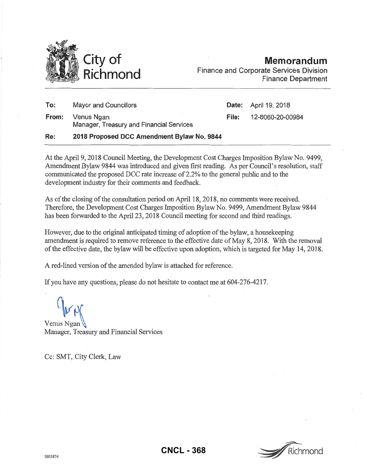

**Memorandum**  Finance and Corporate Services Division Finance Department

| Re:   | 2018 Proposed DCC Amendment Bylaw No. 9844             |    |
|-------|--------------------------------------------------------|----|
| From: | Venus Ngan<br>Manager, Treasury and Financial Services | Fi |
| To:   | Mayor and Councillors                                  | D. |

development industry for their comments and feedback.

**Date:** April 19, 2018 **File:** 12-8060-20-00984

## At the April9, 2018 Council Meeting, the Development Cost Charges Imposition Bylaw No. 9499, Amendment Bylaw 9844 was introduced and given first reading. As per Council's resolution, staff communicated the proposed DCC rate increase of 2.2% to the general public and to the

As of the closing of the consultation period on April 18, 2018, no comments were received. Therefore, the Development Cost Charges Imposition Bylaw No. 9499, Amendment Bylaw 9844 has been forwarded to the April 23, 2018 Council meeting for second and third readings.

However, due to the original anticipated timing of adoption of the bylaw, a housekeeping amendment is required to remove reference to the effective date of May 8, 2018. With the removal of the effective date, the bylaw will be effective upon adoption, which is targeted for May 14, 2018.

A red-lined version of the amended bylaw is attached for reference.

If you have any questions, please do not hesitate to contact me at 604-276-4217.

Venus Ngan Manager, Treasury and Financial Services

Cc: SMT, City Clerk, Law

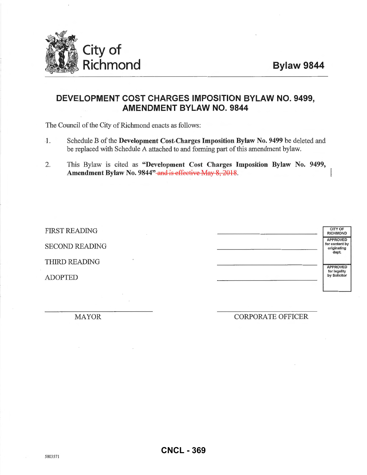

## **DEVELOPMENT COST CHARGES IMPOSITION BYLAW NO. 9499, AMENDMENT BYLAW NO. 9844**

The Council of the City of Richmond enacts as follows:

- 1. Schedule B ofthe Development Cost-Charges Imposition Bylaw No. 9499 be deleted and be replaced with Schedule A attached to and forming pati of this amendment bylaw.
- 2. This Bylaw is cited as "Development Cost Charges Imposition Bylaw No. 9499, Amendment Bylaw No. 9844" and is effective May 8, 2018.

| <b>FIRST READING</b>  | <b>CITY OF</b><br><b>RICHMOND</b>                         |
|-----------------------|-----------------------------------------------------------|
| <b>SECOND READING</b> | <b>APPROVED</b><br>for content by<br>originating<br>dept. |
| THIRD READING         | <b>APPROVED</b>                                           |
| <b>ADOPTED</b>        | for legality<br>by Solicitor                              |

MAYOR CORPORATE OFFICER